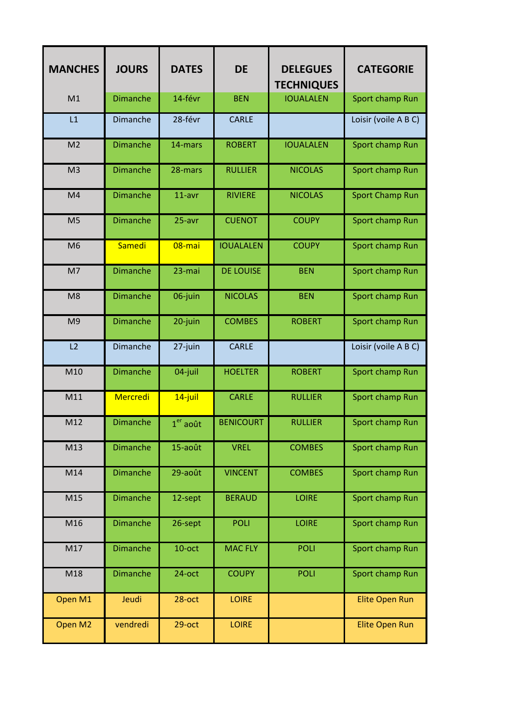| <b>MANCHES</b> | <b>JOURS</b>    | <b>DATES</b> | <b>DE</b>        | <b>DELEGUES</b><br><b>TECHNIQUES</b> | <b>CATEGORIE</b>       |
|----------------|-----------------|--------------|------------------|--------------------------------------|------------------------|
| M1             | <b>Dimanche</b> | 14-févr      | <b>BEN</b>       | <b>IOUALALEN</b>                     | Sport champ Run        |
| L1             | Dimanche        | 28-févr      | <b>CARLE</b>     |                                      | Loisir (voile A B C)   |
| M <sub>2</sub> | <b>Dimanche</b> | 14-mars      | <b>ROBERT</b>    | <b>IOUALALEN</b>                     | Sport champ Run        |
| M <sub>3</sub> | <b>Dimanche</b> | 28-mars      | <b>RULLIER</b>   | <b>NICOLAS</b>                       | Sport champ Run        |
| M <sub>4</sub> | <b>Dimanche</b> | 11-avr       | <b>RIVIERE</b>   | <b>NICOLAS</b>                       | <b>Sport Champ Run</b> |
| M <sub>5</sub> | <b>Dimanche</b> | 25-avr       | <b>CUENOT</b>    | <b>COUPY</b>                         | Sport champ Run        |
| M <sub>6</sub> | Samedi          | 08-mai       | <b>IOUALALEN</b> | <b>COUPY</b>                         | Sport champ Run        |
| M7             | <b>Dimanche</b> | 23-mai       | <b>DE LOUISE</b> | <b>BEN</b>                           | Sport champ Run        |
| M <sub>8</sub> | <b>Dimanche</b> | 06-juin      | <b>NICOLAS</b>   | <b>BEN</b>                           | Sport champ Run        |
| M <sub>9</sub> | <b>Dimanche</b> | 20-juin      | <b>COMBES</b>    | <b>ROBERT</b>                        | Sport champ Run        |
| L2             | Dimanche        | 27-juin      | <b>CARLE</b>     |                                      | Loisir (voile A B C)   |
| M10            | <b>Dimanche</b> | 04-juil      | <b>HOELTER</b>   | <b>ROBERT</b>                        | Sport champ Run        |
| M11            | <b>Mercredi</b> | $14$ -juil   | <b>CARLE</b>     | <b>RULLIER</b>                       | Sport champ Run        |
| M12            | <b>Dimanche</b> | $1er$ août   | <b>BENICOURT</b> | <b>RULLIER</b>                       | Sport champ Run        |
| M13            | <b>Dimanche</b> | 15-août      | <b>VREL</b>      | <b>COMBES</b>                        | Sport champ Run        |
| M14            | <b>Dimanche</b> | 29-août      | <b>VINCENT</b>   | <b>COMBES</b>                        | Sport champ Run        |
| M15            | <b>Dimanche</b> | 12-sept      | <b>BERAUD</b>    | <b>LOIRE</b>                         | Sport champ Run        |
| M16            | <b>Dimanche</b> | 26-sept      | <b>POLI</b>      | <b>LOIRE</b>                         | Sport champ Run        |
| M17            | <b>Dimanche</b> | $10$ -oct    | <b>MAC FLY</b>   | POLI                                 | Sport champ Run        |
| M18            | <b>Dimanche</b> | 24-oct       | <b>COUPY</b>     | POLI                                 | Sport champ Run        |
| Open M1        | Jeudi           | $28$ -oct    | <b>LOIRE</b>     |                                      | <b>Elite Open Run</b>  |
| Open M2        | vendredi        | $29$ -oct    | <b>LOIRE</b>     |                                      | <b>Elite Open Run</b>  |